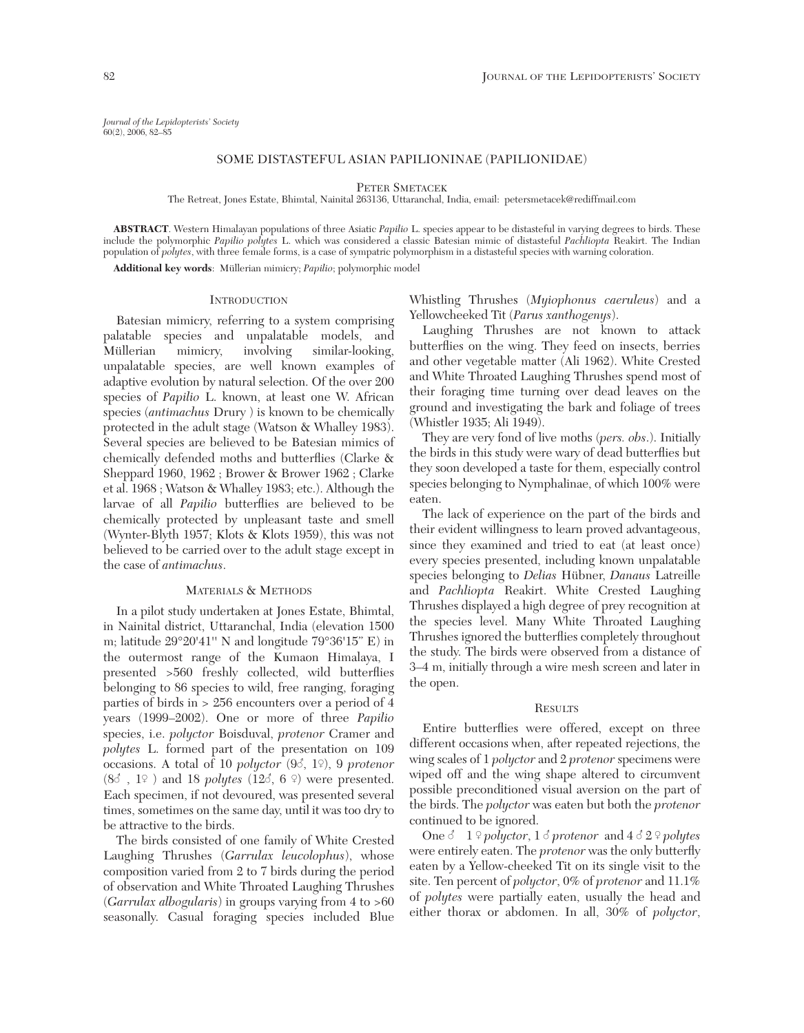# SOME DISTASTEFUL ASIAN PAPILIONINAE (PAPILIONIDAE)

PETER SMETACEK

The Retreat, Jones Estate, Bhimtal, Nainital 263136, Uttaranchal, India, email: petersmetacek@rediffmail.com

**ABSTRACT**. Western Himalayan populations of three Asiatic *Papilio* L. species appear to be distasteful in varying degrees to birds. These include the polymorphic *Papilio polytes* L. which was considered a classic Batesian mimic of distasteful *Pachliopta* Reakirt. The Indian population of *polytes*, with three female forms, is a case of sympatric polymorphism in a distasteful species with warning coloration. **Additional key words**: Müllerian mimicry; *Papilio*; polymorphic model

## **INTRODUCTION**

Batesian mimicry, referring to a system comprising palatable species and unpalatable models, and Müllerian mimicry, involving similar-looking, unpalatable species, are well known examples of adaptive evolution by natural selection. Of the over 200 species of *Papilio* L. known, at least one W. African species (*antimachus* Drury ) is known to be chemically protected in the adult stage (Watson & Whalley 1983). Several species are believed to be Batesian mimics of chemically defended moths and butterflies (Clarke & Sheppard 1960, 1962 ; Brower & Brower 1962 ; Clarke et al. 1968 ; Watson & Whalley 1983; etc.). Although the larvae of all *Papilio* butterflies are believed to be chemically protected by unpleasant taste and smell (Wynter-Blyth 1957; Klots & Klots 1959), this was not believed to be carried over to the adult stage except in the case of *antimachus*.

# MATERIALS & METHODS

In a pilot study undertaken at Jones Estate, Bhimtal, in Nainital district, Uttaranchal, India (elevation 1500 m; latitude 29°20'41'' N and longitude 79°36'15" E) in the outermost range of the Kumaon Himalaya, I presented >560 freshly collected, wild butterflies belonging to 86 species to wild, free ranging, foraging parties of birds in > 256 encounters over a period of 4 years (1999–2002). One or more of three *Papilio* species, i.e. *polyctor* Boisduval, *protenor* Cramer and *polytes* L. formed part of the presentation on 109 occasions. A total of 10 *polyctor* (96, 1<sup>°</sup>), 9 *protenor*  $(8\delta, 1\Omega)$  and 18 *polytes*  $(12\delta, 6\Omega)$  were presented. Each specimen, if not devoured, was presented several times, sometimes on the same day, until it was too dry to be attractive to the birds.

The birds consisted of one family of White Crested Laughing Thrushes (*Garrulax leucolophus*), whose composition varied from 2 to 7 birds during the period of observation and White Throated Laughing Thrushes (*Garrulax albogularis*) in groups varying from 4 to >60 seasonally. Casual foraging species included Blue

Whistling Thrushes (*Myiophonus caeruleus*) and a Yellowcheeked Tit (*Parus xanthogenys*).

Laughing Thrushes are not known to attack butterflies on the wing. They feed on insects, berries and other vegetable matter (Ali 1962). White Crested and White Throated Laughing Thrushes spend most of their foraging time turning over dead leaves on the ground and investigating the bark and foliage of trees (Whistler 1935; Ali 1949).

They are very fond of live moths (*pers. obs*.). Initially the birds in this study were wary of dead butterflies but they soon developed a taste for them, especially control species belonging to Nymphalinae, of which 100% were eaten.

The lack of experience on the part of the birds and their evident willingness to learn proved advantageous, since they examined and tried to eat (at least once) every species presented, including known unpalatable species belonging to *Delias* Hübner, *Danaus* Latreille and *Pachliopta* Reakirt. White Crested Laughing Thrushes displayed a high degree of prey recognition at the species level. Many White Throated Laughing Thrushes ignored the butterflies completely throughout the study. The birds were observed from a distance of 3–4 m, initially through a wire mesh screen and later in the open.

#### **RESULTS**

Entire butterflies were offered, except on three different occasions when, after repeated rejections, the wing scales of 1 *polyctor* and 2 *protenor* specimens were wiped off and the wing shape altered to circumvent possible preconditioned visual aversion on the part of the birds. The *polyctor* was eaten but both the *protenor* continued to be ignored.

One  $\delta$  1  $\Omega$  *polyctor*, 1  $\delta$  *protenor* and 4  $\delta$  2  $\Omega$  *polytes* were entirely eaten. The *protenor* was the only butterfly eaten by a Yellow-cheeked Tit on its single visit to the site. Ten percent of *polyctor*, 0% of *protenor* and 11.1% of *polytes* were partially eaten, usually the head and either thorax or abdomen. In all, 30% of *polyctor*,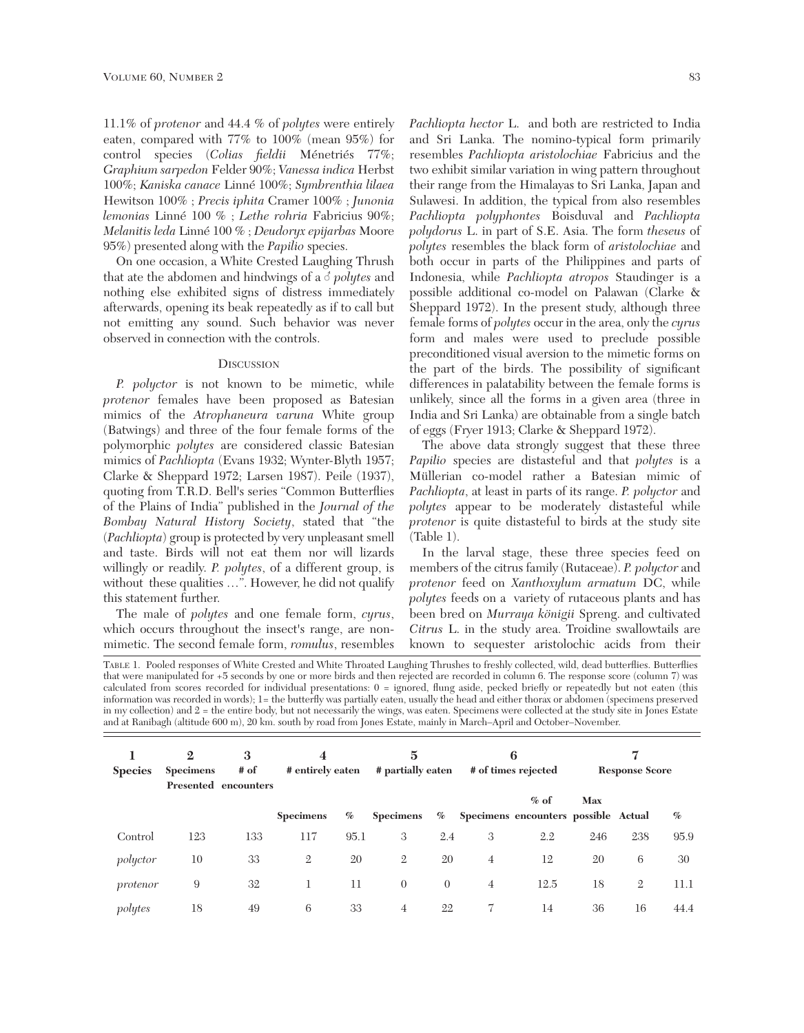11.1% of *protenor* and 44.4 % of *polytes* were entirely eaten, compared with 77% to 100% (mean 95%) for control species (*Colias fieldii* Ménetriés 77%; *Graphium sarpedon* Felder 90%; *Vanessa indica* Herbst 100%; *Kaniska canace* Linné 100%; *Symbrenthia lilaea* Hewitson 100% ; *Precis iphita* Cramer 100% ; *Junonia lemonias* Linné 100 % ; *Lethe rohria* Fabricius 90%; *Melanitis leda* Linné 100 % ; *Deudoryx epijarbas* Moore 95%) presented along with the *Papilio* species.

On one occasion, a White Crested Laughing Thrush that ate the abdomen and hindwings of a  $\delta$  *polytes* and nothing else exhibited signs of distress immediately afterwards, opening its beak repeatedly as if to call but not emitting any sound. Such behavior was never observed in connection with the controls.

## **DISCUSSION**

*P. polyctor* is not known to be mimetic, while *protenor* females have been proposed as Batesian mimics of the *Atrophaneura varuna* White group (Batwings) and three of the four female forms of the polymorphic *polytes* are considered classic Batesian mimics of *Pachliopta* (Evans 1932; Wynter-Blyth 1957; Clarke & Sheppard 1972; Larsen 1987). Peile (1937), quoting from T.R.D. Bell's series "Common Butterflies of the Plains of India" published in the *Journal of the Bombay Natural History Society*, stated that "the (*Pachliopta*) group is protected by very unpleasant smell and taste. Birds will not eat them nor will lizards willingly or readily. *P. polytes*, of a different group, is without these qualities …". However, he did not qualify this statement further.

The male of *polytes* and one female form, *cyrus*, which occurs throughout the insect's range, are nonmimetic. The second female form, *romulus*, resembles

*Pachliopta hector* L. and both are restricted to India and Sri Lanka. The nomino-typical form primarily resembles *Pachliopta aristolochiae* Fabricius and the two exhibit similar variation in wing pattern throughout their range from the Himalayas to Sri Lanka, Japan and Sulawesi. In addition, the typical from also resembles *Pachliopta polyphontes* Boisduval and *Pachliopta polydorus* L. in part of S.E. Asia. The form *theseus* of *polytes* resembles the black form of *aristolochiae* and both occur in parts of the Philippines and parts of Indonesia, while *Pachliopta atropos* Staudinger is a possible additional co-model on Palawan (Clarke & Sheppard 1972). In the present study, although three female forms of *polytes* occur in the area, only the *cyrus* form and males were used to preclude possible preconditioned visual aversion to the mimetic forms on the part of the birds. The possibility of significant differences in palatability between the female forms is unlikely, since all the forms in a given area (three in India and Sri Lanka) are obtainable from a single batch of eggs (Fryer 1913; Clarke & Sheppard 1972).

The above data strongly suggest that these three *Papilio* species are distasteful and that *polytes* is a Müllerian co-model rather a Batesian mimic of *Pachliopta*, at least in parts of its range. *P. polyctor* and *polytes* appear to be moderately distasteful while *protenor* is quite distasteful to birds at the study site (Table 1).

In the larval stage, these three species feed on members of the citrus family (Rutaceae). *P. polyctor* and *protenor* feed on *Xanthoxylum armatum* DC, while *polytes* feeds on a variety of rutaceous plants and has been bred on *Murraya königii* Spreng. and cultivated *Citrus* L. in the study area. Troidine swallowtails are known to sequester aristolochic acids from their

TABLE 1. Pooled responses of White Crested and White Throated Laughing Thrushes to freshly collected, wild, dead butterflies. Butterflies that were manipulated for +5 seconds by one or more birds and then rejected are recorded in column 6. The response score (column 7) was calculated from scores recorded for individual presentations: 0 = ignored, flung aside, pecked briefly or repeatedly but not eaten (this information was recorded in words); 1= the butterfly was partially eaten, usually the head and either thorax or abdomen (specimens preserved in my collection) and 2 = the entire body, but not necessarily the wings, was eaten. Specimens were collected at the study site in Jones Estate and at Ranibagh (altitude 600 m), 20 km. south by road from Jones Estate, mainly in March–April and October–November.

| <b>Species</b> | $\mathbf{2}$<br><b>Specimens</b> | 3<br># of<br>Presented encounters | 4<br># entirely eaten |      | $\overline{5}$<br># partially eaten |                | 6<br># of times rejected |                                                | 7<br><b>Response Score</b> |                |      |
|----------------|----------------------------------|-----------------------------------|-----------------------|------|-------------------------------------|----------------|--------------------------|------------------------------------------------|----------------------------|----------------|------|
|                |                                  |                                   | <b>Specimens</b>      | $\%$ | <b>Specimens</b>                    | $\%$           |                          | $%$ of<br>Specimens encounters possible Actual | Max                        |                | $\%$ |
| Control        | 123                              | 133                               | 117                   | 95.1 | 3                                   | 2.4            | 3                        | 2.2                                            | 246                        | 238            | 95.9 |
| polyctor       | 10                               | 33                                | $\overline{2}$        | 20   | $\mathfrak{2}$                      | 20             | $\overline{4}$           | 12                                             | 20                         | 6              | 30   |
| protenor       | 9                                | 32                                |                       | 11   | $\theta$                            | $\overline{0}$ | 4                        | 12.5                                           | 18                         | $\overline{2}$ | 11.1 |
| polytes        | 18                               | 49                                | 6                     | 33   | 4                                   | 22             |                          | 14                                             | 36                         | 16             | 44.4 |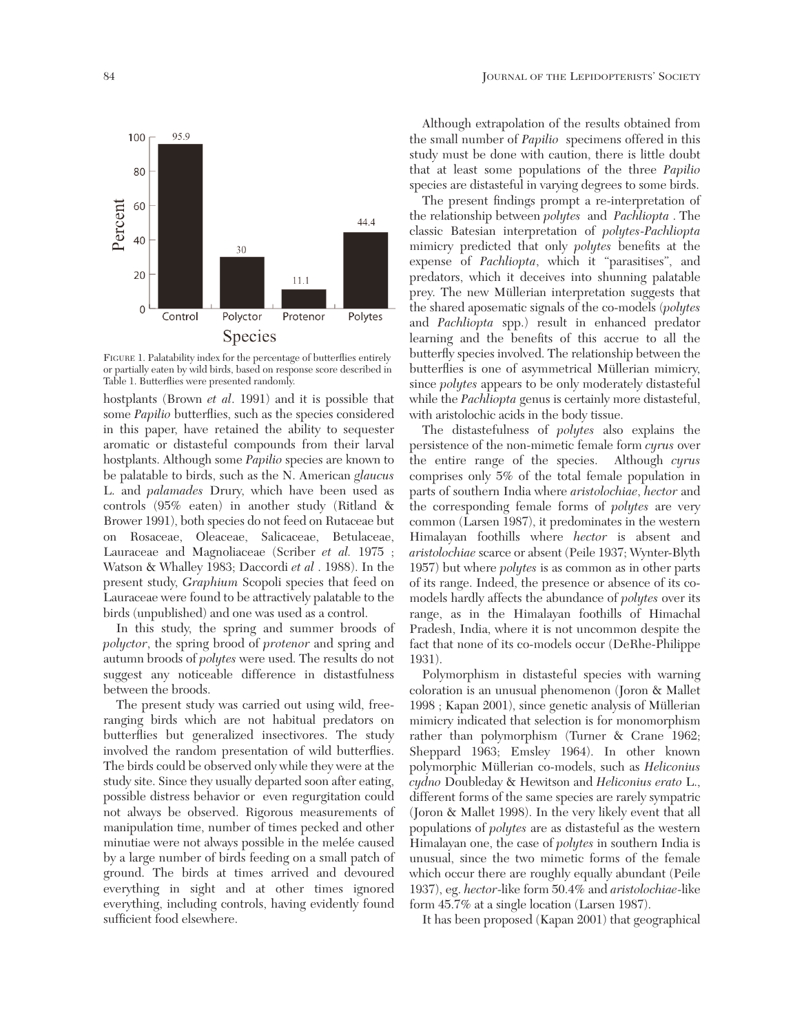

FIGURE 1. Palatability index for the percentage of butterflies entirely or partially eaten by wild birds, based on response score described in Table 1. Butterflies were presented randomly.

hostplants (Brown *et al*. 1991) and it is possible that some *Papilio* butterflies, such as the species considered in this paper, have retained the ability to sequester aromatic or distasteful compounds from their larval hostplants. Although some *Papilio* species are known to be palatable to birds, such as the N. American *glaucus* L. and *palamades* Drury, which have been used as controls (95% eaten) in another study (Ritland & Brower 1991), both species do not feed on Rutaceae but on Rosaceae, Oleaceae, Salicaceae, Betulaceae, Lauraceae and Magnoliaceae (Scriber *et al.* 1975 ; Watson & Whalley 1983; Daccordi *et al* . 1988). In the present study, *Graphium* Scopoli species that feed on Lauraceae were found to be attractively palatable to the birds (unpublished) and one was used as a control.

In this study, the spring and summer broods of *polyctor*, the spring brood of *protenor* and spring and autumn broods of *polytes* were used. The results do not suggest any noticeable difference in distastfulness between the broods.

The present study was carried out using wild, freeranging birds which are not habitual predators on butterflies but generalized insectivores. The study involved the random presentation of wild butterflies. The birds could be observed only while they were at the study site. Since they usually departed soon after eating, possible distress behavior or even regurgitation could not always be observed. Rigorous measurements of manipulation time, number of times pecked and other minutiae were not always possible in the melée caused by a large number of birds feeding on a small patch of ground. The birds at times arrived and devoured everything in sight and at other times ignored everything, including controls, having evidently found sufficient food elsewhere.

Although extrapolation of the results obtained from the small number of *Papilio* specimens offered in this study must be done with caution, there is little doubt that at least some populations of the three *Papilio* species are distasteful in varying degrees to some birds.

The present findings prompt a re-interpretation of the relationship between *polytes* and *Pachliopta* . The classic Batesian interpretation of *polytes*-*Pachliopta* mimicry predicted that only *polytes* benefits at the expense of *Pachliopta*, which it "parasitises", and predators, which it deceives into shunning palatable prey. The new Müllerian interpretation suggests that the shared aposematic signals of the co-models (*polytes* and *Pachliopta* spp.) result in enhanced predator learning and the benefits of this accrue to all the butterfly species involved. The relationship between the butterflies is one of asymmetrical Müllerian mimicry, since *polytes* appears to be only moderately distasteful while the *Pachliopta* genus is certainly more distasteful, with aristolochic acids in the body tissue.

The distastefulness of *polytes* also explains the persistence of the non-mimetic female form *cyrus* over the entire range of the species. Although *cyrus* comprises only 5% of the total female population in parts of southern India where *aristolochiae*, *hector* and the corresponding female forms of *polytes* are very common (Larsen 1987), it predominates in the western Himalayan foothills where *hector* is absent and *aristolochiae* scarce or absent (Peile 1937; Wynter-Blyth 1957) but where *polytes* is as common as in other parts of its range. Indeed, the presence or absence of its comodels hardly affects the abundance of *polytes* over its range, as in the Himalayan foothills of Himachal Pradesh, India, where it is not uncommon despite the fact that none of its co-models occur (DeRhe-Philippe 1931).

Polymorphism in distasteful species with warning coloration is an unusual phenomenon (Joron & Mallet 1998 ; Kapan 2001), since genetic analysis of Müllerian mimicry indicated that selection is for monomorphism rather than polymorphism (Turner & Crane 1962; Sheppard 1963; Emsley 1964). In other known polymorphic Müllerian co-models, such as *Heliconius cydno* Doubleday & Hewitson and *Heliconius erato* L., different forms of the same species are rarely sympatric (Joron & Mallet 1998). In the very likely event that all populations of *polytes* are as distasteful as the western Himalayan one, the case of *polytes* in southern India is unusual, since the two mimetic forms of the female which occur there are roughly equally abundant (Peile 1937), eg. *hector*-like form 50.4% and *aristolochiae*-like form 45.7% at a single location (Larsen 1987).

It has been proposed (Kapan 2001) that geographical